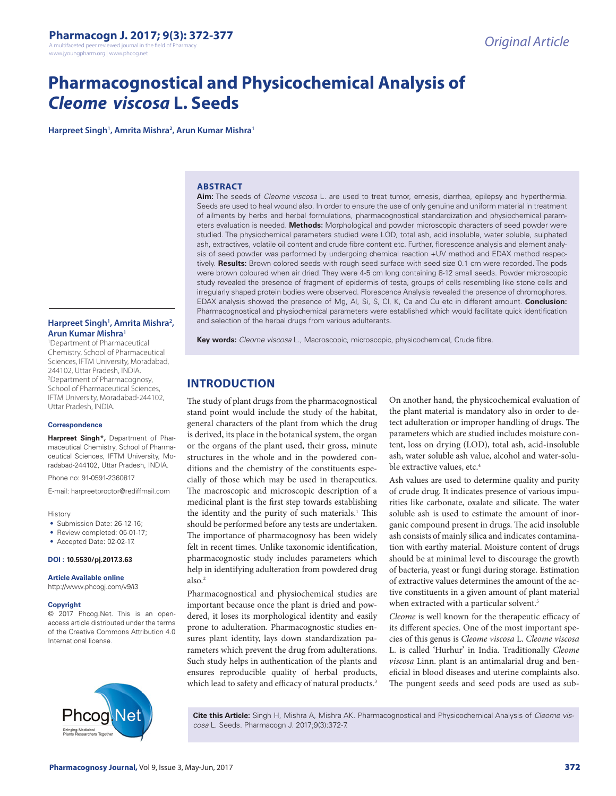www.jyoungpharm.org | www.phcog.net

# **Pharmacognostical and Physicochemical Analysis of**  *Cleome viscosa* **L. Seeds**

**Harpreet Singh1 , Amrita Mishra2 , Arun Kumar Mishra1**

#### **ABSTRACT**

**Aim:** The seeds of *Cleome viscosa* L. are used to treat tumor, emesis, diarrhea, epilepsy and hyperthermia. Seeds are used to heal wound also. In order to ensure the use of only genuine and uniform material in treatment of ailments by herbs and herbal formulations, pharmacognostical standardization and physiochemical parameters evaluation is needed. **Methods:** Morphological and powder microscopic characters of seed powder were studied. The physiochemical parameters studied were LOD, total ash, acid insoluble, water soluble, sulphated ash, extractives, volatile oil content and crude fibre content etc. Further, florescence analysis and element analysis of seed powder was performed by undergoing chemical reaction +UV method and EDAX method respectively. **Results:** Brown colored seeds with rough seed surface with seed size 0.1 cm were recorded. The pods were brown coloured when air dried. They were 4-5 cm long containing 8-12 small seeds. Powder microscopic study revealed the presence of fragment of epidermis of testa, groups of cells resembling like stone cells and irregularly shaped protein bodies were observed. Florescence Analysis revealed the presence of chromophores. EDAX analysis showed the presence of Mg, Al, Si, S, Cl, K, Ca and Cu etc in different amount. **Conclusion:** Pharmacognostical and physiochemical parameters were established which would facilitate quick identification and selection of the herbal drugs from various adulterants.

**Key words:** *Cleome viscosa* L., Macroscopic, microscopic, physicochemical, Crude fibre.

### **INTRODUCTION**

The study of plant drugs from the pharmacognostical stand point would include the study of the habitat, general characters of the plant from which the drug is derived, its place in the botanical system, the organ or the organs of the plant used, their gross, minute structures in the whole and in the powdered conditions and the chemistry of the constituents especially of those which may be used in therapeutics. The macroscopic and microscopic description of a medicinal plant is the first step towards establishing the identity and the purity of such materials.<sup>1</sup> This should be performed before any tests are undertaken. The importance of pharmacognosy has been widely felt in recent times. Unlike taxonomic identification, pharmacognostic study includes parameters which help in identifying adulteration from powdered drug also.2

Pharmacognostical and physiochemical studies are important because once the plant is dried and powdered, it loses its morphological identity and easily prone to adulteration. Pharmacognostic studies ensures plant identity, lays down standardization parameters which prevent the drug from adulterations. Such study helps in authentication of the plants and ensures reproducible quality of herbal products, which lead to safety and efficacy of natural products.<sup>3</sup>

On another hand, the physicochemical evaluation of the plant material is mandatory also in order to detect adulteration or improper handling of drugs. The parameters which are studied includes moisture content, loss on drying (LOD), total ash, acid-insoluble ash, water soluble ash value, alcohol and water-soluble extractive values, etc.<sup>4</sup>

Ash values are used to determine quality and purity of crude drug. It indicates presence of various impurities like carbonate, oxalate and silicate. The water soluble ash is used to estimate the amount of inorganic compound present in drugs. The acid insoluble ash consists of mainly silica and indicates contamination with earthy material. Moisture content of drugs should be at minimal level to discourage the growth of bacteria, yeast or fungi during storage. Estimation of extractive values determines the amount of the active constituents in a given amount of plant material when extracted with a particular solvent.<sup>5</sup>

*Cleome* is well known for the therapeutic efficacy of its different species. One of the most important species of this genus is *Cleome viscosa* L. *Cleome viscosa*  L. is called 'Hurhur' in India. Traditionally *Cleome viscosa* Linn. plant is an antimalarial drug and beneficial in blood diseases and uterine complaints also. The pungent seeds and seed pods are used as sub-

**Cite this Article:** Singh H, Mishra A, Mishra AK. Pharmacognostical and Physicochemical Analysis of *Cleome viscosa* L. Seeds. Pharmacogn J. 2017;9(3):372-7.

#### Harpreet Singh<sup>1</sup>, Amrita Mishra<sup>2</sup>, **Arun Kumar Mishra1**

1 Department of Pharmaceutical Chemistry, School of Pharmaceutical Sciences, IFTM University, Moradabad, 244102, Uttar Pradesh, INDIA. 2 Department of Pharmacognosy, School of Pharmaceutical Sciences, IFTM University, Moradabad-244102, Uttar Pradesh, INDIA.

#### **Correspondence**

**Harpreet Singh\*,** Department of Pharmaceutical Chemistry, School of Pharmaceutical Sciences, IFTM University, Moradabad-244102, Uttar Pradesh, INDIA.

Phone no: 91-0591-2360817

E-mail: harpreetproctor@rediffmail.com

#### History

- Submission Date: 26-12-16:
- Review completed: 05-01-17;
- Accepted Date: 02-02-17.

**DOI : 10.5530/pj.2017.3.63**

#### **Article Available online**

http://www.phcogj.com/v9/i3

#### **Copyright**

© 2017 Phcog.Net. This is an openaccess article distributed under the terms of the Creative Commons Attribution 4.0 International license.

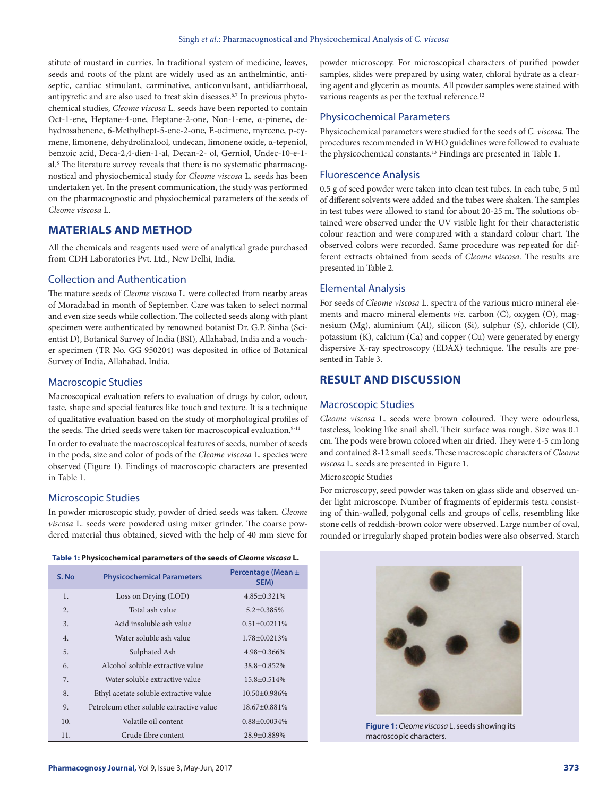stitute of mustard in curries. In traditional system of medicine, leaves, seeds and roots of the plant are widely used as an anthelmintic, antiseptic, cardiac stimulant, carminative, anticonvulsant, antidiarrhoeal, antipyretic and are also used to treat skin diseases.<sup>6,7</sup> In previous phytochemical studies, *Cleome viscosa* L. seeds have been reported to contain Oct-1-ene, Heptane-4-one, Heptane-2-one, Non-1-ene, α-pinene, dehydrosabenene, 6-Methylhept-5-ene-2-one, E-ocimene, myrcene, p-cymene, limonene, dehydrolinalool, undecan, limonene oxide, α-tepeniol, benzoic acid, Deca-2,4-dien-1-al, Decan-2- ol, Gerniol, Undec-10-e-1 al.8 The literature survey reveals that there is no systematic pharmacognostical and physiochemical study for *Cleome viscosa* L. seeds has been undertaken yet. In the present communication, the study was performed on the pharmacognostic and physiochemical parameters of the seeds of *Cleome viscosa* L.

# **MATERIALS AND METHOD**

All the chemicals and reagents used were of analytical grade purchased from CDH Laboratories Pvt. Ltd., New Delhi, India.

#### Collection and Authentication

The mature seeds of *Cleome viscosa* L. were collected from nearby areas of Moradabad in month of September. Care was taken to select normal and even size seeds while collection. The collected seeds along with plant specimen were authenticated by renowned botanist Dr. G.P. Sinha (Scientist D), Botanical Survey of India (BSI), Allahabad, India and a voucher specimen (TR No. GG 950204) was deposited in office of Botanical Survey of India, Allahabad, India.

#### Macroscopic Studies

Macroscopical evaluation refers to evaluation of drugs by color, odour, taste, shape and special features like touch and texture. It is a technique of qualitative evaluation based on the study of morphological profiles of the seeds. The dried seeds were taken for macroscopical evaluation.<sup>9-11</sup>

In order to evaluate the macroscopical features of seeds, number of seeds in the pods, size and color of pods of the *Cleome viscosa* L. species were observed (Figure 1). Findings of macroscopic characters are presented in Table 1.

#### Microscopic Studies

In powder microscopic study, powder of dried seeds was taken. *Cleome viscosa* L. seeds were powdered using mixer grinder. The coarse powdered material thus obtained, sieved with the help of 40 mm sieve for

| S. No | <b>Physicochemical Parameters</b>        | Percentage (Mean ±<br>SEM) |
|-------|------------------------------------------|----------------------------|
| 1.    | Loss on Drying (LOD)                     | 4.85±0.321%                |
| 2.    | Total ash value                          | $5.2 \pm 0.385\%$          |
| 3.    | Acid insoluble ash value                 | $0.51 \pm 0.0211\%$        |
| 4.    | Water soluble ash value                  | 1.78±0.0213%               |
| 5.    | Sulphated Ash                            | 4.98±0.366%                |
| 6.    | Alcohol soluble extractive value         | $38.8 + 0.852\%$           |
| 7.    | Water soluble extractive value           | $15.8 \pm 0.514\%$         |
| 8.    | Ethyl acetate soluble extractive value   | $10.50 + 0.986\%$          |
| 9.    | Petroleum ether soluble extractive value | 18.67±0.881%               |
| 10.   | Volatile oil content                     | $0.88 \pm 0.0034\%$        |
| 11.   | Crude fibre content                      | 28.9+0.889%                |

powder microscopy. For microscopical characters of purified powder samples, slides were prepared by using water, chloral hydrate as a clearing agent and glycerin as mounts. All powder samples were stained with various reagents as per the textual reference.<sup>12</sup>

# Physicochemical Parameters

Physicochemical parameters were studied for the seeds of *C. viscosa*. The procedures recommended in WHO guidelines were followed to evaluate the physicochemical constants.<sup>13</sup> Findings are presented in Table 1.

# Fluorescence Analysis

0.5 g of seed powder were taken into clean test tubes. In each tube, 5 ml of different solvents were added and the tubes were shaken. The samples in test tubes were allowed to stand for about 20-25 m. The solutions obtained were observed under the UV visible light for their characteristic colour reaction and were compared with a standard colour chart. The observed colors were recorded. Same procedure was repeated for different extracts obtained from seeds of *Cleome viscosa*. The results are presented in Table 2.

#### Elemental Analysis

For seeds of *Cleome viscosa* L. spectra of the various micro mineral elements and macro mineral elements *viz.* carbon (C), oxygen (O), magnesium (Mg), aluminium (Al), silicon (Si), sulphur (S), chloride (Cl), potassium (K), calcium (Ca) and copper (Cu) were generated by energy dispersive X-ray spectroscopy (EDAX) technique. The results are presented in Table 3.

# **RESULT AND DISCUSSION**

#### Macroscopic Studies

*Cleome viscosa* L. seeds were brown coloured. They were odourless, tasteless, looking like snail shell. Their surface was rough. Size was 0.1 cm. The pods were brown colored when air dried. They were 4-5 cm long and contained 8-12 small seeds. These macroscopic characters of *Cleome viscosa* L. seeds are presented in Figure 1.

Microscopic Studies

For microscopy, seed powder was taken on glass slide and observed under light microscope. Number of fragments of epidermis testa consisting of thin-walled, polygonal cells and groups of cells, resembling like stone cells of reddish-brown color were observed. Large number of oval, rounded or irregularly shaped protein bodies were also observed. Starch



**Figure 1:** *Cleome viscosa* L. seeds showing its macroscopic characters.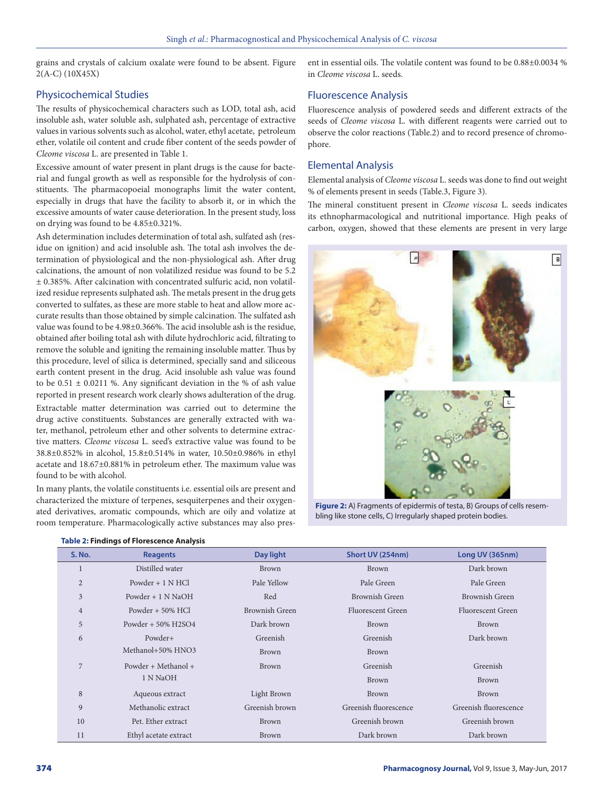grains and crystals of calcium oxalate were found to be absent. Figure 2(A-C) (10X45X)

# Physicochemical Studies

The results of physicochemical characters such as LOD, total ash, acid insoluble ash, water soluble ash, sulphated ash, percentage of extractive values in various solvents such as alcohol, water, ethyl acetate, petroleum ether, volatile oil content and crude fiber content of the seeds powder of *Cleome viscosa* L. are presented in Table 1.

Excessive amount of water present in plant drugs is the cause for bacterial and fungal growth as well as responsible for the hydrolysis of constituents. The pharmacopoeial monographs limit the water content, especially in drugs that have the facility to absorb it, or in which the excessive amounts of water cause deterioration. In the present study, loss on drying was found to be 4.85±0.321%.

Ash determination includes determination of total ash, sulfated ash (residue on ignition) and acid insoluble ash. The total ash involves the determination of physiological and the non-physiological ash. After drug calcinations, the amount of non volatilized residue was found to be 5.2 ± 0.385%. After calcination with concentrated sulfuric acid, non volatilized residue represents sulphated ash. The metals present in the drug gets converted to sulfates, as these are more stable to heat and allow more accurate results than those obtained by simple calcination. The sulfated ash value was found to be 4.98±0.366%. The acid insoluble ash is the residue, obtained after boiling total ash with dilute hydrochloric acid, filtrating to remove the soluble and igniting the remaining insoluble matter. Thus by this procedure, level of silica is determined, specially sand and siliceous earth content present in the drug. Acid insoluble ash value was found to be  $0.51 \pm 0.0211$  %. Any significant deviation in the % of ash value reported in present research work clearly shows adulteration of the drug.

Extractable matter determination was carried out to determine the drug active constituents. Substances are generally extracted with water, methanol, petroleum ether and other solvents to determine extractive matters. *Cleome viscosa* L. seed's extractive value was found to be 38.8±0.852% in alcohol, 15.8±0.514% in water, 10.50±0.986% in ethyl acetate and 18.67±0.881% in petroleum ether. The maximum value was found to be with alcohol.

In many plants, the volatile constituents i.e. essential oils are present and characterized the mixture of terpenes, sesquiterpenes and their oxygenated derivatives, aromatic compounds, which are oily and volatize at room temperature. Pharmacologically active substances may also present in essential oils. The volatile content was found to be 0.88±0.0034 % in *Cleome viscosa* L. seeds.

# Fluorescence Analysis

Fluorescence analysis of powdered seeds and different extracts of the seeds of *Cleome viscosa* L. with different reagents were carried out to observe the color reactions (Table.2) and to record presence of chromophore.

### Elemental Analysis

Elemental analysis of *Cleome viscosa* L. seeds was done to find out weight % of elements present in seeds (Table.3, Figure 3).

The mineral constituent present in *Cleome viscosa* L. seeds indicates its ethnopharmacological and nutritional importance. High peaks of carbon, oxygen, showed that these elements are present in very large



**Figure 2:** A) Fragments of epidermis of testa, B) Groups of cells resembling like stone cells, C) Irregularly shaped protein bodies.

| <b>S. No.</b>  | <b>Reagents</b>       | Day light      | Short UV (254nm)      | Long UV (365nm)          |
|----------------|-----------------------|----------------|-----------------------|--------------------------|
|                | Distilled water       | <b>Brown</b>   | <b>Brown</b>          | Dark brown               |
| $\overline{2}$ | Powder $+1$ N HCl     | Pale Yellow    | Pale Green            | Pale Green               |
| 3              | Powder $+1$ N NaOH    | Red            | <b>Brownish Green</b> | <b>Brownish Green</b>    |
| $\overline{4}$ | Powder $+50\%$ HCl    | Brownish Green | Fluorescent Green     | <b>Fluorescent Green</b> |
| 5              | Powder $+50\%$ H2SO4  | Dark brown     | Brown                 | <b>Brown</b>             |
| 6              | Powder+               | Greenish       | Greenish              | Dark brown               |
|                | Methanol+50% HNO3     | Brown          | Brown                 |                          |
| 7              | Powder + Methanol +   | <b>Brown</b>   | Greenish              | Greenish                 |
|                | 1 N NaOH              |                | <b>Brown</b>          | <b>Brown</b>             |
| 8              | Aqueous extract       | Light Brown    | <b>Brown</b>          | <b>Brown</b>             |
| 9              | Methanolic extract    | Greenish brown | Greenish fluorescence | Greenish fluorescence    |
| 10             | Pet. Ether extract    | Brown          | Greenish brown        | Greenish brown           |
| 11             | Ethyl acetate extract | <b>Brown</b>   | Dark brown            | Dark brown               |

#### **Table 2: Findings of Florescence Analysis**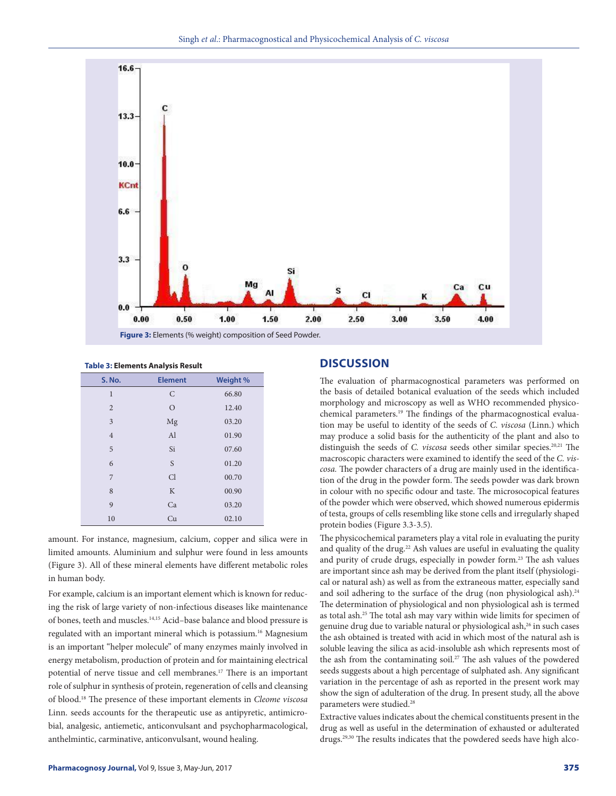

| <b>Table 3: Elements Analysis Result</b> |  |
|------------------------------------------|--|
|                                          |  |

| <b>S. No.</b>  | <b>Element</b> | Weight % |
|----------------|----------------|----------|
| $\mathbf{1}$   | $\mathsf{C}$   | 66.80    |
| $\overline{2}$ | $\circ$        | 12.40    |
| 3              | Mg             | 03.20    |
| $\overline{4}$ | Al             | 01.90    |
| 5              | Si             | 07.60    |
| 6              | S              | 01.20    |
| 7              | Cl             | 00.70    |
| 8              | K              | 00.90    |
| 9              | Ca             | 03.20    |
| 10             | Cu             | 02.10    |

amount. For instance, magnesium, calcium, copper and silica were in limited amounts. Aluminium and sulphur were found in less amounts (Figure 3). All of these mineral elements have different metabolic roles in human body.

For example, calcium is an important element which is known for reducing the risk of large variety of non-infectious diseases like maintenance of bones, teeth and muscles.14,15 Acid–base balance and blood pressure is regulated with an important mineral which is potassium.<sup>16</sup> Magnesium is an important "helper molecule" of many enzymes mainly involved in energy metabolism, production of protein and for maintaining electrical potential of nerve tissue and cell membranes.17 There is an important role of sulphur in synthesis of protein, regeneration of cells and cleansing of blood.18 The presence of these important elements in *Cleome viscosa* Linn. seeds accounts for the therapeutic use as antipyretic, antimicrobial, analgesic, antiemetic, anticonvulsant and psychopharmacological, anthelmintic, carminative, anticonvulsant, wound healing.

# **DISCUSSION**

The evaluation of pharmacognostical parameters was performed on the basis of detailed botanical evaluation of the seeds which included morphology and microscopy as well as WHO recommended physicochemical parameters.<sup>19</sup> The findings of the pharmacognostical evaluation may be useful to identity of the seeds of *C. viscosa* (Linn.) which may produce a solid basis for the authenticity of the plant and also to distinguish the seeds of *C. viscosa* seeds other similar species.<sup>20,21</sup> The macroscopic characters were examined to identify the seed of the *C. viscosa.* The powder characters of a drug are mainly used in the identification of the drug in the powder form. The seeds powder was dark brown in colour with no specific odour and taste. The microsocopical features of the powder which were observed, which showed numerous epidermis of testa, groups of cells resembling like stone cells and irregularly shaped protein bodies (Figure 3.3-3.5).

The physicochemical parameters play a vital role in evaluating the purity and quality of the drug.<sup>22</sup> Ash values are useful in evaluating the quality and purity of crude drugs, especially in powder form.<sup>23</sup> The ash values are important since ash may be derived from the plant itself (physiological or natural ash) as well as from the extraneous matter, especially sand and soil adhering to the surface of the drug (non physiological ash).<sup>24</sup> The determination of physiological and non physiological ash is termed as total ash.25 The total ash may vary within wide limits for specimen of genuine drug due to variable natural or physiological ash,<sup>26</sup> in such cases the ash obtained is treated with acid in which most of the natural ash is soluble leaving the silica as acid-insoluble ash which represents most of the ash from the contaminating soil.<sup>27</sup> The ash values of the powdered seeds suggests about a high percentage of sulphated ash. Any significant variation in the percentage of ash as reported in the present work may show the sign of adulteration of the drug. In present study, all the above parameters were studied.<sup>28</sup>

Extractive values indicates about the chemical constituents present in the drug as well as useful in the determination of exhausted or adulterated drugs.<sup>29,30</sup> The results indicates that the powdered seeds have high alco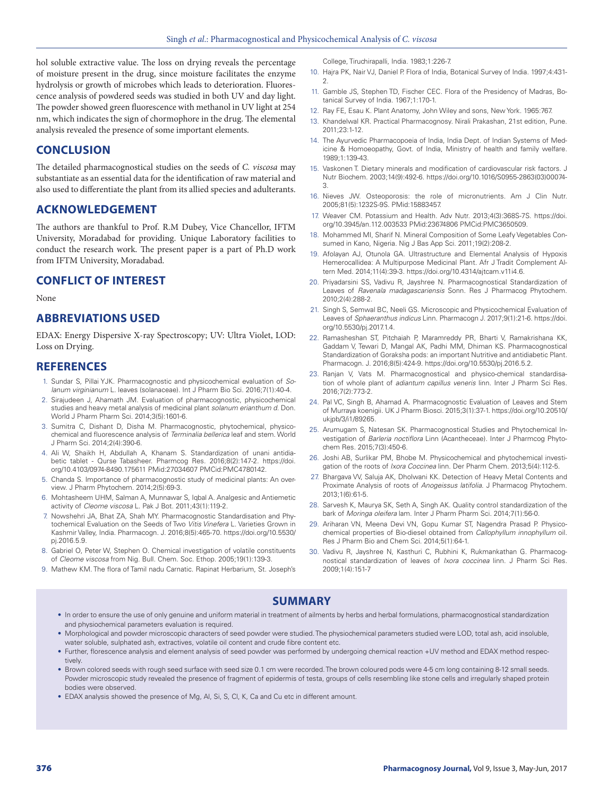hol soluble extractive value. The loss on drying reveals the percentage of moisture present in the drug, since moisture facilitates the enzyme hydrolysis or growth of microbes which leads to deterioration. Fluorescence analysis of powdered seeds was studied in both UV and day light. The powder showed green fluorescence with methanol in UV light at 254 nm, which indicates the sign of chormophore in the drug. The elemental analysis revealed the presence of some important elements.

# **CONCLUSION**

The detailed pharmacognostical studies on the seeds of *C. viscosa* may substantiate as an essential data for the identification of raw material and also used to differentiate the plant from its allied species and adulterants.

### **ACKNOWLEDGEMENT**

The authors are thankful to Prof. R.M Dubey, Vice Chancellor, IFTM University, Moradabad for providing. Unique Laboratory facilities to conduct the research work. The present paper is a part of Ph.D work from IFTM University, Moradabad.

### **CONFLICT OF INTEREST**

None

# **ABBREVIATIONS USED**

EDAX: Energy Dispersive X-ray Spectroscopy; UV: Ultra Violet, LOD: Loss on Drying.

#### **REFERENCES**

- 1. Sundar S, Pillai YJK. Pharmacognostic and physicochemical evaluation of *Solanum virginianum* L. leaves (solanaceae). Int J Pharm Bio Sci. 2016;7(1):40-4.
- 2. Sirajudeen J, Ahamath JM. Evaluation of pharmacognostic, physicochemical studies and heavy metal analysis of medicinal plant *solanum erianthum d*. Don. World J Pharm Pharm Sci. 2014;3(5):1601-6.
- 3. Sumitra C, Dishant D, Disha M. Pharmacognostic, phytochemical, physicochemical and fluorescence analysis of *Terminalia bellerica* leaf and stem. World J Pharm Sci. 2014;2(4):390-6.
- 4. Ali W, Shaikh H, Abdullah A, Khanam S. Standardization of unani antidiabetic tablet - Qurse Tabasheer. Pharmcog Res. 2016;8(2):147-2. https://doi. org/10.4103/0974-8490.175611 PMid:27034607 PMCid:PMC4780142.
- 5. Chanda S. Importance of pharmacognostic study of medicinal plants: An overview. J Pharm Phytochem. 2014;2(5):69-3.
- 6. Mohtasheem UHM, Salman A, Munnawar S, Iqbal A. Analgesic and Antiemetic activity of *Cleome viscosa* L. Pak J Bot. 2011;43(1):119-2.
- 7. Nowshehri JA, Bhat ZA, Shah MY. Pharmacognostic Standardisation and Phytochemical Evaluation on the Seeds of Two *Vitis Vinefera* L. Varieties Grown in Kashmir Valley, India. Pharmacogn. J. 2016;8(5):465-70. https://doi.org/10.5530/ pj.2016.5.9.
- 8. Gabriel O, Peter W, Stephen O. Chemical investigation of volatile constituents of Cleome viscosa from Nig. Bull. Chem. Soc. Ethop. 2005;19(1):139-3.
- 9. Mathew KM. The flora of Tamil nadu Carnatic. Rapinat Herbarium, St. Joseph's

College, Tiruchirapalli, India. 1983;1:226-7.

- 10. Hajra PK, Nair VJ, Daniel P. Flora of India, Botanical Survey of India. 1997;4:431- 2.
- 11. Gamble JS, Stephen TD, Fischer CEC. Flora of the Presidency of Madras, Botanical Survey of India. 1967;1:170-1.
- 12. Ray FE, Esau K. Plant Anatomy, John Wiley and sons, New York. 1965:767.
- 13. Khandelwal KR. Practical Pharmacognosy. Nirali Prakashan, 21st edition, Pune. 2011;23:1-12.
- 14. The Ayurvedic Pharmacopoeia of India, India Dept. of Indian Systems of Medicine & Homoeopathy, Govt. of India, Ministry of health and family welfare. 1989;1:139-43.
- 15. Vaskonen T. Dietary minerals and modification of cardiovascular risk factors. J Nutr Biochem. 2003;14(9):492-6. https://doi.org/10.1016/S0955-2863(03)00074- 3.
- 16. Nieves JW. Osteoporosis: the role of micronutrients. Am J Clin Nutr. 2005;81(5):1232S-9S. PMid:15883457.
- 17. Weaver CM. Potassium and Health. Adv Nutr. 2013;4(3):368S-7S. https://doi. org/10.3945/an.112.003533 PMid:23674806 PMCid:PMC3650509.
- 18. Mohammed MI, Sharif N. Mineral Composition of Some Leafy Vegetables Consumed in Kano, Nigeria. Nig J Bas App Sci. 2011;19(2):208-2.
- 19. Afolayan AJ, Otunola GA. Ultrastructure and Elemental Analysis of Hypoxis Hemerocallidea: A Multipurpose Medicinal Plant. Afr J Tradit Complement Altern Med. 2014;11(4):39-3. https://doi.org/10.4314/ajtcam.v11i4.6.
- 20. Priyadarsini SS, Vadivu R, Jayshree N. Pharmacognostical Standardization of Leaves of *Ravenala madagascariensis* Sonn. Res J Pharmacog Phytochem. 2010;2(4):288-2.
- 21. Singh S, Semwal BC, Neeli GS. Microscopic and Physicochemical Evaluation of Leaves of *Sphaeranthus indicus* Linn. Pharmacogn J. 2017;9(1):21-6. https://doi. org/10.5530/pj.2017.1.4.
- 22. Ramasheshan ST, Pitchaiah P, Maramreddy PR, Bharti V, Ramakrishana KK, Gaddam V, Tewari D, Mangal AK, Padhi MM, Dhiman KS. Pharmacognostical Standardization of Goraksha pods: an important Nutritive and antidiabetic Plant. Pharmacogn. J. 2016;8(5):424-9. https://doi.org/10.5530/pj.2016.5.2.
- 23. Ranjan V, Vats M. Pharmacognostical and physico-chemical standardisation of whole plant of *adiantum capillus veneris* linn. Inter J Pharm Sci Res. 2016;7(2):773-2.
- 24. Pal VC, Singh B, Ahamad A. Pharmacognostic Evaluation of Leaves and Stem of Murraya koenigii. UK J Pharm Biosci. 2015;3(1):37-1. https://doi.org/10.20510/ ukjpb/3/i1/89265.
- 25. Arumugam S, Natesan SK. Pharmacognostical Studies and Phytochemical Investigation of *Barleria noctiflora* Linn (Acantheceae). Inter J Pharmcog Phytochem Res. 2015;7(3):450-6.
- 26. Joshi AB, Surlikar PM, Bhobe M. Physicochemical and phytochemical investigation of the roots of *Ixora Coccinea* linn. Der Pharm Chem. 2013;5(4):112-5.
- 27. Bhargava VV, Saluja AK, Dholwani KK. Detection of Heavy Metal Contents and Proximate Analysis of roots of *Anogeissus latifolia*. J Pharmacog Phytochem. 2013;1(6):61-5.
- 28. Sarvesh K, Maurya SK, Seth A, Singh AK. Quality control standardization of the bark of *Moringa oleifera* lam. Inter J Pharm Pharm Sci. 2014;7(1):56-0.
- 29. Ariharan VN, Meena Devi VN, Gopu Kumar ST, Nagendra Prasad P. Physicochemical properties of Bio-diesel obtained from *Callophyllum innophyllum* oil. Res J Pharm Bio and Chem Sci. 2014;5(1):64-1.
- 30. Vadivu R, Jayshree N, Kasthuri C, Rubhini K, Rukmankathan G. Pharmacognostical standardization of leaves of *Ixora coccinea* linn. J Pharm Sci Res. 2009;1(4):151-7

# **SUMMARY**

- In order to ensure the use of only genuine and uniform material in treatment of ailments by herbs and herbal formulations, pharmacognostical standardization and physiochemical parameters evaluation is required.
- Morphological and powder microscopic characters of seed powder were studied. The physiochemical parameters studied were LOD, total ash, acid insoluble, water soluble, sulphated ash, extractives, volatile oil content and crude fibre content etc.
- Further, florescence analysis and element analysis of seed powder was performed by undergoing chemical reaction +UV method and EDAX method respectively.
- Brown colored seeds with rough seed surface with seed size 0.1 cm were recorded. The brown coloured pods were 4-5 cm long containing 8-12 small seeds. Powder microscopic study revealed the presence of fragment of epidermis of testa, groups of cells resembling like stone cells and irregularly shaped protein bodies were observed.
- EDAX analysis showed the presence of Mg, Al, Si, S, Cl, K, Ca and Cu etc in different amount.